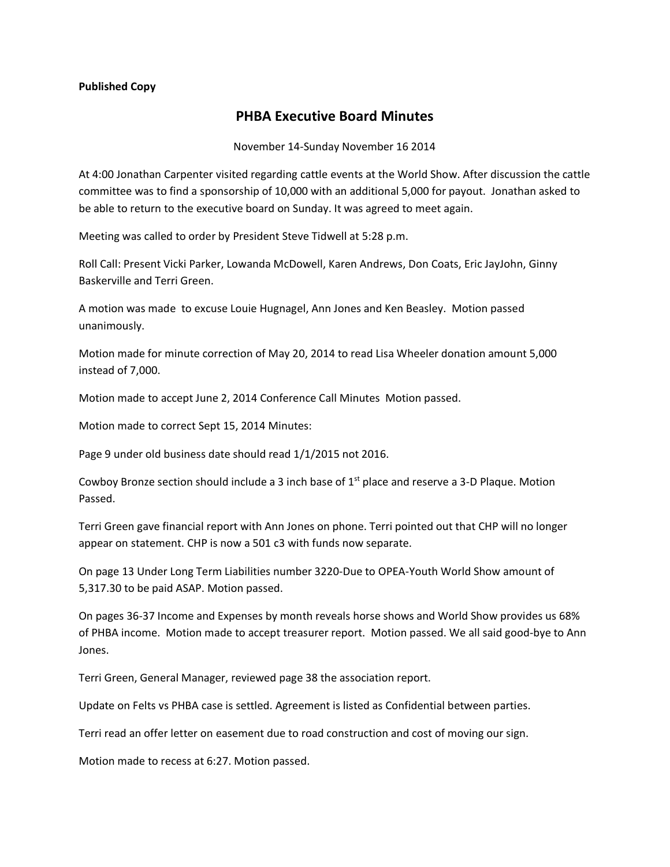## **Published Copy**

## **PHBA Executive Board Minutes**

## November 14-Sunday November 16 2014

At 4:00 Jonathan Carpenter visited regarding cattle events at the World Show. After discussion the cattle committee was to find a sponsorship of 10,000 with an additional 5,000 for payout. Jonathan asked to be able to return to the executive board on Sunday. It was agreed to meet again.

Meeting was called to order by President Steve Tidwell at 5:28 p.m.

Roll Call: Present Vicki Parker, Lowanda McDowell, Karen Andrews, Don Coats, Eric JayJohn, Ginny Baskerville and Terri Green.

A motion was made to excuse Louie Hugnagel, Ann Jones and Ken Beasley. Motion passed unanimously.

Motion made for minute correction of May 20, 2014 to read Lisa Wheeler donation amount 5,000 instead of 7,000.

Motion made to accept June 2, 2014 Conference Call Minutes Motion passed.

Motion made to correct Sept 15, 2014 Minutes:

Page 9 under old business date should read 1/1/2015 not 2016.

Cowboy Bronze section should include a 3 inch base of  $1<sup>st</sup>$  place and reserve a 3-D Plaque. Motion Passed.

Terri Green gave financial report with Ann Jones on phone. Terri pointed out that CHP will no longer appear on statement. CHP is now a 501 c3 with funds now separate.

On page 13 Under Long Term Liabilities number 3220-Due to OPEA-Youth World Show amount of 5,317.30 to be paid ASAP. Motion passed.

On pages 36-37 Income and Expenses by month reveals horse shows and World Show provides us 68% of PHBA income. Motion made to accept treasurer report. Motion passed. We all said good-bye to Ann Jones.

Terri Green, General Manager, reviewed page 38 the association report.

Update on Felts vs PHBA case is settled. Agreement is listed as Confidential between parties.

Terri read an offer letter on easement due to road construction and cost of moving our sign.

Motion made to recess at 6:27. Motion passed.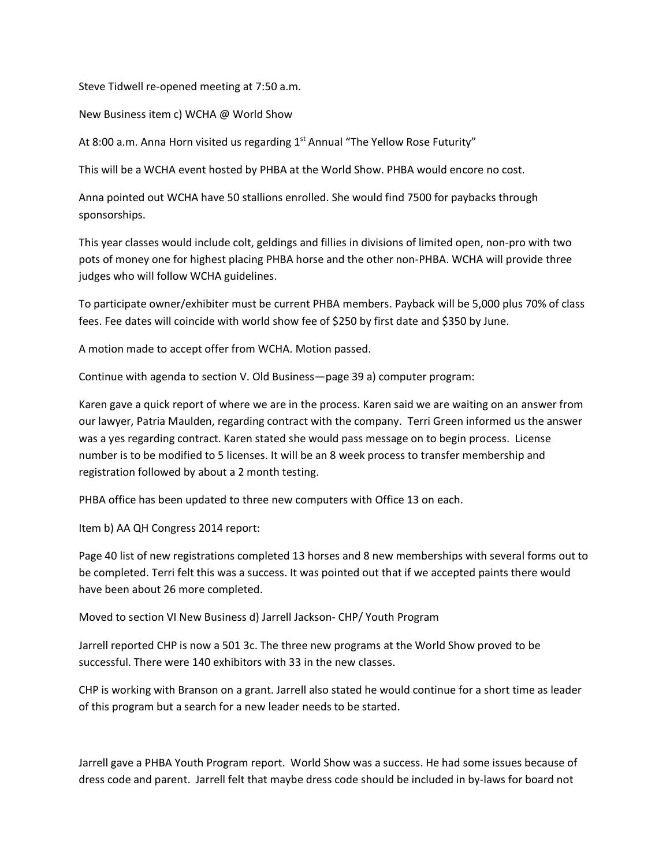Steve Tidwell re-opened meeting at 7:50 a.m.

New Business item c) WCHA @ World Show

At 8:00 a.m. Anna Horn visited us regarding 1<sup>st</sup> Annual "The Yellow Rose Futurity"

This will be a WCHA event hosted by PHBA at the World Show. PHBA would encore no cost.

Anna pointed out WCHA have 50 stallions enrolled. She would find 7500 for paybacks through sponsorships.

This year classes would include colt, geldings and fillies in divisions of limited open, non-pro with two pots of money one for highest placing PHBA horse and the other non-PHBA. WCHA will provide three judges who will follow WCHA guidelines.

To participate owner/exhibiter must be current PHBA members. Payback will be 5,000 plus 70% of class fees. Fee dates will coincide with world show fee of \$250 by first date and \$350 by June.

A motion made to accept offer from WCHA. Motion passed.

Continue with agenda to section V. Old Business—page 39 a) computer program:

Karen gave a quick report of where we are in the process. Karen said we are waiting on an answer from our lawyer, Patria Maulden, regarding contract with the company. Terri Green informed us the answer was a yes regarding contract. Karen stated she would pass message on to begin process. License number is to be modified to 5 licenses. It will be an 8 week process to transfer membership and registration followed by about a 2 month testing.

PHBA office has been updated to three new computers with Office 13 on each.

Item b) AA QH Congress 2014 report:

Page 40 list of new registrations completed 13 horses and 8 new memberships with several forms out to be completed. Terri felt this was a success. It was pointed out that if we accepted paints there would have been about 26 more completed.

Moved to section VI New Business d) Jarrell Jackson- CHP/ Youth Program

Jarrell reported CHP is now a 501 3c. The three new programs at the World Show proved to be successful. There were 140 exhibitors with 33 in the new classes.

CHP is working with Branson on a grant. Jarrell also stated he would continue for a short time as leader of this program but a search for a new leader needs to be started.

Jarrell gave a PHBA Youth Program report. World Show was a success. He had some issues because of dress code and parent. Jarrell felt that maybe dress code should be included in by-laws for board not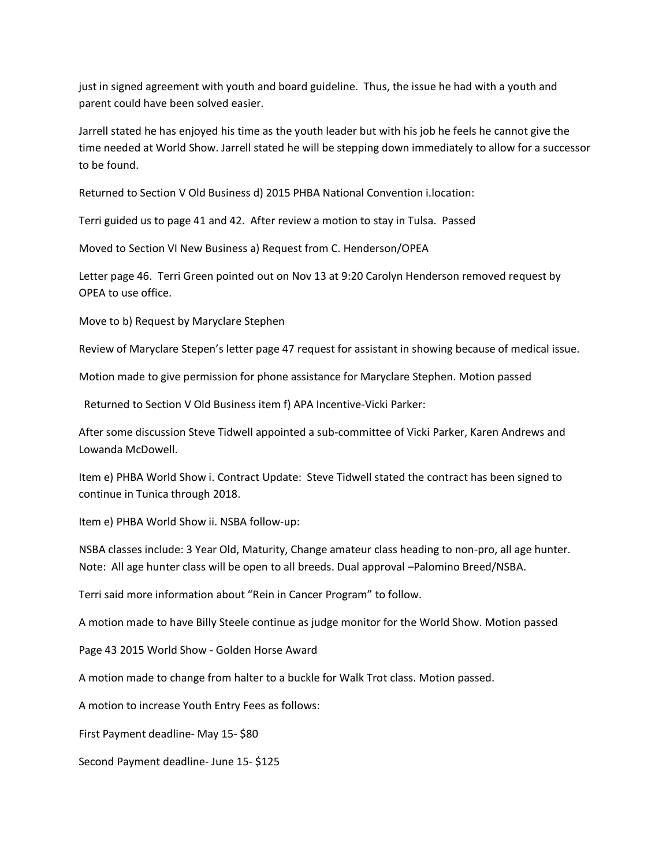just in signed agreement with youth and board guideline. Thus, the issue he had with a youth and parent could have been solved easier.

Jarrell stated he has enjoyed his time as the youth leader but with his job he feels he cannot give the time needed at World Show. Jarrell stated he will be stepping down immediately to allow for a successor to be found.

Returned to Section V Old Business d) 2015 PHBA National Convention i.location:

Terri guided us to page 41 and 42. After review a motion to stay in Tulsa. Passed

Moved to Section VI New Business a) Request from C. Henderson/OPEA

Letter page 46. Terri Green pointed out on Nov 13 at 9:20 Carolyn Henderson removed request by OPEA to use office.

Move to b) Request by Maryclare Stephen

Review of Maryclare Stepen's letter page 47 request for assistant in showing because of medical issue.

Motion made to give permission for phone assistance for Maryclare Stephen. Motion passed

Returned to Section V Old Business item f) APA Incentive-Vicki Parker:

After some discussion Steve Tidwell appointed a sub-committee of Vicki Parker, Karen Andrews and Lowanda McDowell.

Item e) PHBA World Show i. Contract Update: Steve Tidwell stated the contract has been signed to continue in Tunica through 2018.

Item e) PHBA World Show ii. NSBA follow-up:

NSBA classes include: 3 Year Old, Maturity, Change amateur class heading to non-pro, all age hunter. Note: All age hunter class will be open to all breeds. Dual approval –Palomino Breed/NSBA.

Terri said more information about "Rein in Cancer Program" to follow.

A motion made to have Billy Steele continue as judge monitor for the World Show. Motion passed

Page 43 2015 World Show - Golden Horse Award

A motion made to change from halter to a buckle for Walk Trot class. Motion passed.

A motion to increase Youth Entry Fees as follows:

First Payment deadline- May 15- \$80

Second Payment deadline- June 15- \$125